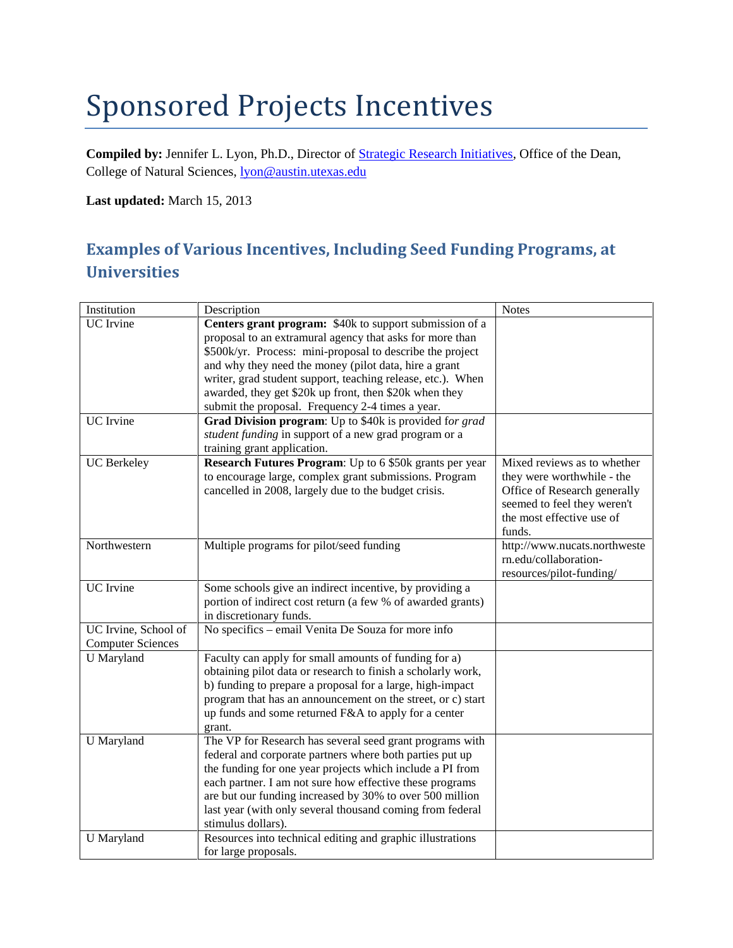## Sponsored Projects Incentives

**Compiled by:** Jennifer L. Lyon, Ph.D., Director of [Strategic Research Initiatives,](http://cns.utexas.edu/deans-office/research-facilities/strategic-research-initiatives) Office of the Dean, College of Natural Sciences, [lyon@austin.utexas.edu](mailto:lyon@austin.utexas.edu)

**Last updated:** March 15, 2013

## **Examples of Various Incentives, Including Seed Funding Programs, at Universities**

| Institution              | Description                                                  | <b>Notes</b>                 |
|--------------------------|--------------------------------------------------------------|------------------------------|
| <b>UC</b> Irvine         | Centers grant program: \$40k to support submission of a      |                              |
|                          | proposal to an extramural agency that asks for more than     |                              |
|                          | \$500k/yr. Process: mini-proposal to describe the project    |                              |
|                          | and why they need the money (pilot data, hire a grant        |                              |
|                          | writer, grad student support, teaching release, etc.). When  |                              |
|                          | awarded, they get \$20k up front, then \$20k when they       |                              |
|                          | submit the proposal. Frequency 2-4 times a year.             |                              |
| <b>UC</b> Irvine         | Grad Division program: Up to \$40k is provided for grad      |                              |
|                          | student funding in support of a new grad program or a        |                              |
|                          | training grant application.                                  |                              |
| <b>UC</b> Berkeley       | Research Futures Program: Up to 6 \$50k grants per year      | Mixed reviews as to whether  |
|                          | to encourage large, complex grant submissions. Program       | they were worthwhile - the   |
|                          | cancelled in 2008, largely due to the budget crisis.         | Office of Research generally |
|                          |                                                              | seemed to feel they weren't  |
|                          |                                                              | the most effective use of    |
|                          |                                                              | funds.                       |
| Northwestern             | Multiple programs for pilot/seed funding                     | http://www.nucats.northweste |
|                          |                                                              | rn.edu/collaboration-        |
|                          |                                                              | resources/pilot-funding/     |
| <b>UC</b> Irvine         | Some schools give an indirect incentive, by providing a      |                              |
|                          | portion of indirect cost return (a few % of awarded grants)  |                              |
|                          | in discretionary funds.                                      |                              |
| UC Irvine, School of     | No specifics – email Venita De Souza for more info           |                              |
| <b>Computer Sciences</b> |                                                              |                              |
| <b>U</b> Maryland        | Faculty can apply for small amounts of funding for a)        |                              |
|                          | obtaining pilot data or research to finish a scholarly work, |                              |
|                          | b) funding to prepare a proposal for a large, high-impact    |                              |
|                          | program that has an announcement on the street, or c) start  |                              |
|                          | up funds and some returned F&A to apply for a center         |                              |
|                          | grant.                                                       |                              |
| <b>U</b> Maryland        | The VP for Research has several seed grant programs with     |                              |
|                          | federal and corporate partners where both parties put up     |                              |
|                          | the funding for one year projects which include a PI from    |                              |
|                          | each partner. I am not sure how effective these programs     |                              |
|                          | are but our funding increased by 30% to over 500 million     |                              |
|                          | last year (with only several thousand coming from federal    |                              |
|                          | stimulus dollars).                                           |                              |
| U Maryland               | Resources into technical editing and graphic illustrations   |                              |
|                          | for large proposals.                                         |                              |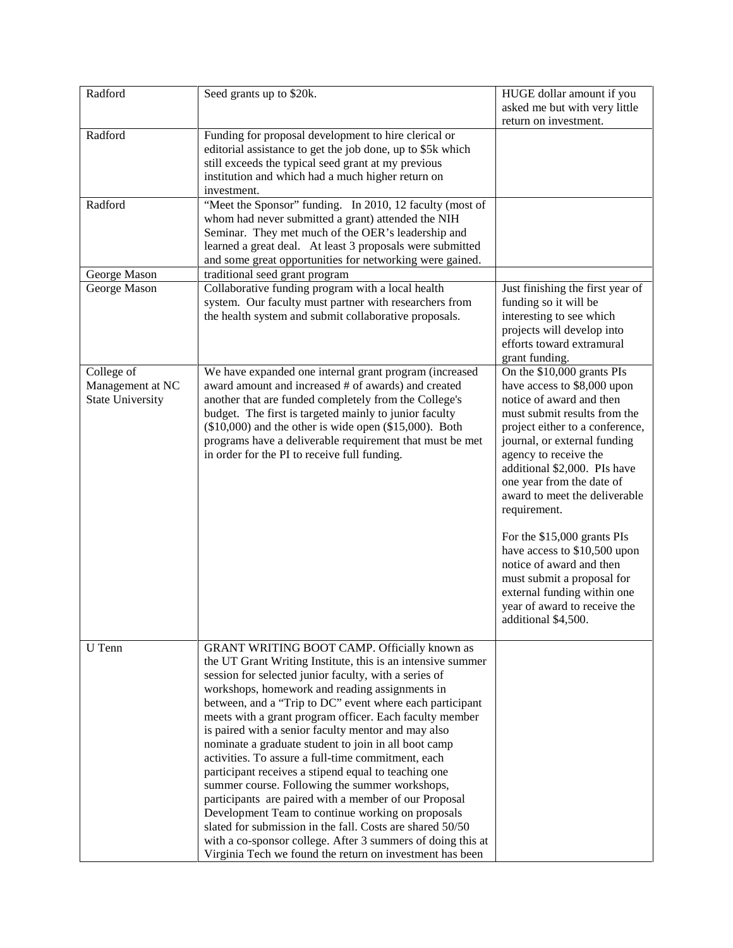| Radford                 | Seed grants up to \$20k.                                                                                   | HUGE dollar amount if you        |
|-------------------------|------------------------------------------------------------------------------------------------------------|----------------------------------|
|                         |                                                                                                            | asked me but with very little    |
|                         |                                                                                                            | return on investment.            |
| Radford                 | Funding for proposal development to hire clerical or                                                       |                                  |
|                         | editorial assistance to get the job done, up to \$5k which                                                 |                                  |
|                         | still exceeds the typical seed grant at my previous                                                        |                                  |
|                         | institution and which had a much higher return on<br>investment.                                           |                                  |
| Radford                 | "Meet the Sponsor" funding. In 2010, 12 faculty (most of                                                   |                                  |
|                         | whom had never submitted a grant) attended the NIH                                                         |                                  |
|                         | Seminar. They met much of the OER's leadership and                                                         |                                  |
|                         | learned a great deal. At least 3 proposals were submitted                                                  |                                  |
|                         | and some great opportunities for networking were gained.                                                   |                                  |
| George Mason            | traditional seed grant program                                                                             |                                  |
| George Mason            | Collaborative funding program with a local health                                                          | Just finishing the first year of |
|                         | system. Our faculty must partner with researchers from                                                     | funding so it will be            |
|                         | the health system and submit collaborative proposals.                                                      | interesting to see which         |
|                         |                                                                                                            | projects will develop into       |
|                         |                                                                                                            | efforts toward extramural        |
|                         |                                                                                                            | grant funding.                   |
| College of              | We have expanded one internal grant program (increased                                                     | On the \$10,000 grants PIs       |
| Management at NC        | award amount and increased # of awards) and created                                                        | have access to \$8,000 upon      |
| <b>State University</b> | another that are funded completely from the College's                                                      | notice of award and then         |
|                         | budget. The first is targeted mainly to junior faculty                                                     | must submit results from the     |
|                         | $(\$10,000)$ and the other is wide open $(\$15,000)$ . Both                                                | project either to a conference,  |
|                         | programs have a deliverable requirement that must be met                                                   | journal, or external funding     |
|                         | in order for the PI to receive full funding.                                                               | agency to receive the            |
|                         |                                                                                                            | additional \$2,000. PIs have     |
|                         |                                                                                                            | one year from the date of        |
|                         |                                                                                                            | award to meet the deliverable    |
|                         |                                                                                                            | requirement.                     |
|                         |                                                                                                            |                                  |
|                         |                                                                                                            | For the \$15,000 grants PIs      |
|                         |                                                                                                            | have access to \$10,500 upon     |
|                         |                                                                                                            | notice of award and then         |
|                         |                                                                                                            | must submit a proposal for       |
|                         |                                                                                                            | external funding within one      |
|                         |                                                                                                            | year of award to receive the     |
|                         |                                                                                                            | additional \$4,500.              |
|                         |                                                                                                            |                                  |
| U Tenn                  | GRANT WRITING BOOT CAMP. Officially known as                                                               |                                  |
|                         | the UT Grant Writing Institute, this is an intensive summer                                                |                                  |
|                         | session for selected junior faculty, with a series of                                                      |                                  |
|                         | workshops, homework and reading assignments in<br>between, and a "Trip to DC" event where each participant |                                  |
|                         | meets with a grant program officer. Each faculty member                                                    |                                  |
|                         | is paired with a senior faculty mentor and may also                                                        |                                  |
|                         | nominate a graduate student to join in all boot camp                                                       |                                  |
|                         | activities. To assure a full-time commitment, each                                                         |                                  |
|                         | participant receives a stipend equal to teaching one                                                       |                                  |
|                         | summer course. Following the summer workshops,                                                             |                                  |
|                         | participants are paired with a member of our Proposal                                                      |                                  |
|                         | Development Team to continue working on proposals                                                          |                                  |
|                         | slated for submission in the fall. Costs are shared 50/50                                                  |                                  |
|                         | with a co-sponsor college. After 3 summers of doing this at                                                |                                  |
|                         | Virginia Tech we found the return on investment has been                                                   |                                  |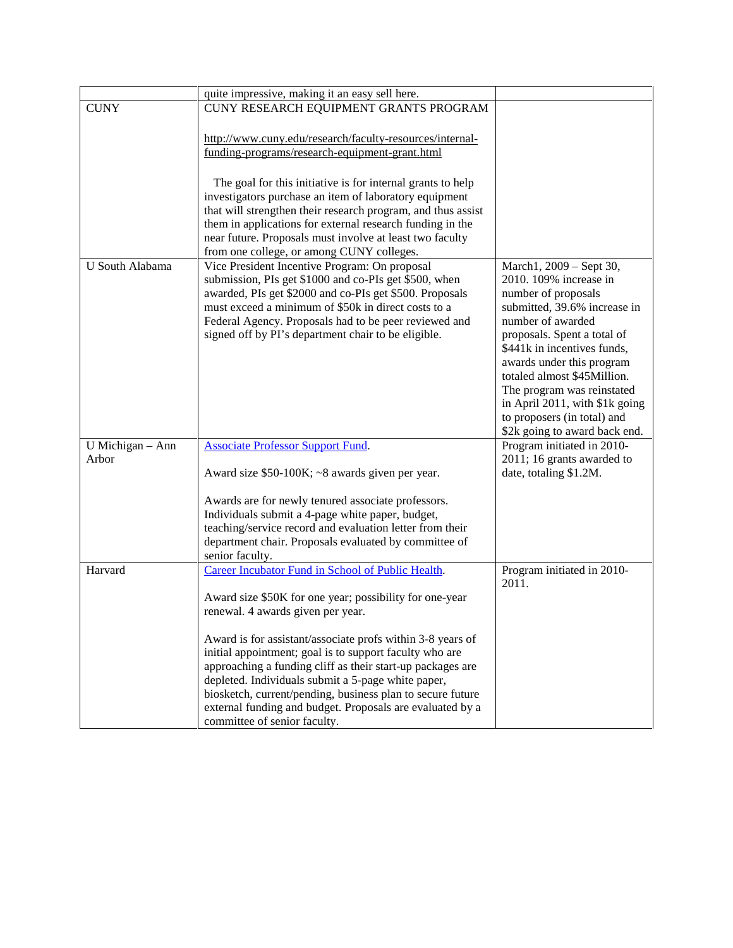|                           | quite impressive, making it an easy sell here.                                                                                                                                                                                                                                                                                                                                                                                                                                                                                                                                                                                                                                                                                        |                                                                                                                                                    |
|---------------------------|---------------------------------------------------------------------------------------------------------------------------------------------------------------------------------------------------------------------------------------------------------------------------------------------------------------------------------------------------------------------------------------------------------------------------------------------------------------------------------------------------------------------------------------------------------------------------------------------------------------------------------------------------------------------------------------------------------------------------------------|----------------------------------------------------------------------------------------------------------------------------------------------------|
| <b>CUNY</b>               | CUNY RESEARCH EQUIPMENT GRANTS PROGRAM                                                                                                                                                                                                                                                                                                                                                                                                                                                                                                                                                                                                                                                                                                |                                                                                                                                                    |
|                           |                                                                                                                                                                                                                                                                                                                                                                                                                                                                                                                                                                                                                                                                                                                                       |                                                                                                                                                    |
|                           | http://www.cuny.edu/research/faculty-resources/internal-                                                                                                                                                                                                                                                                                                                                                                                                                                                                                                                                                                                                                                                                              |                                                                                                                                                    |
|                           | funding-programs/research-equipment-grant.html                                                                                                                                                                                                                                                                                                                                                                                                                                                                                                                                                                                                                                                                                        |                                                                                                                                                    |
|                           |                                                                                                                                                                                                                                                                                                                                                                                                                                                                                                                                                                                                                                                                                                                                       |                                                                                                                                                    |
|                           | The goal for this initiative is for internal grants to help                                                                                                                                                                                                                                                                                                                                                                                                                                                                                                                                                                                                                                                                           |                                                                                                                                                    |
|                           | investigators purchase an item of laboratory equipment                                                                                                                                                                                                                                                                                                                                                                                                                                                                                                                                                                                                                                                                                |                                                                                                                                                    |
|                           | that will strengthen their research program, and thus assist                                                                                                                                                                                                                                                                                                                                                                                                                                                                                                                                                                                                                                                                          |                                                                                                                                                    |
|                           | them in applications for external research funding in the                                                                                                                                                                                                                                                                                                                                                                                                                                                                                                                                                                                                                                                                             |                                                                                                                                                    |
|                           | near future. Proposals must involve at least two faculty                                                                                                                                                                                                                                                                                                                                                                                                                                                                                                                                                                                                                                                                              |                                                                                                                                                    |
|                           | from one college, or among CUNY colleges.                                                                                                                                                                                                                                                                                                                                                                                                                                                                                                                                                                                                                                                                                             |                                                                                                                                                    |
| U South Alabama           | Vice President Incentive Program: On proposal                                                                                                                                                                                                                                                                                                                                                                                                                                                                                                                                                                                                                                                                                         | March1, 2009 - Sept 30,                                                                                                                            |
|                           | submission, PIs get \$1000 and co-PIs get \$500, when                                                                                                                                                                                                                                                                                                                                                                                                                                                                                                                                                                                                                                                                                 | 2010. 109% increase in                                                                                                                             |
|                           | awarded, PIs get \$2000 and co-PIs get \$500. Proposals                                                                                                                                                                                                                                                                                                                                                                                                                                                                                                                                                                                                                                                                               | number of proposals                                                                                                                                |
|                           | must exceed a minimum of \$50k in direct costs to a                                                                                                                                                                                                                                                                                                                                                                                                                                                                                                                                                                                                                                                                                   | submitted, 39.6% increase in                                                                                                                       |
|                           | Federal Agency. Proposals had to be peer reviewed and                                                                                                                                                                                                                                                                                                                                                                                                                                                                                                                                                                                                                                                                                 | number of awarded                                                                                                                                  |
|                           | signed off by PI's department chair to be eligible.                                                                                                                                                                                                                                                                                                                                                                                                                                                                                                                                                                                                                                                                                   | proposals. Spent a total of                                                                                                                        |
|                           |                                                                                                                                                                                                                                                                                                                                                                                                                                                                                                                                                                                                                                                                                                                                       | \$441k in incentives funds,                                                                                                                        |
|                           |                                                                                                                                                                                                                                                                                                                                                                                                                                                                                                                                                                                                                                                                                                                                       | awards under this program                                                                                                                          |
|                           |                                                                                                                                                                                                                                                                                                                                                                                                                                                                                                                                                                                                                                                                                                                                       | totaled almost \$45Million.                                                                                                                        |
|                           |                                                                                                                                                                                                                                                                                                                                                                                                                                                                                                                                                                                                                                                                                                                                       | The program was reinstated                                                                                                                         |
|                           |                                                                                                                                                                                                                                                                                                                                                                                                                                                                                                                                                                                                                                                                                                                                       | in April 2011, with \$1k going                                                                                                                     |
|                           |                                                                                                                                                                                                                                                                                                                                                                                                                                                                                                                                                                                                                                                                                                                                       |                                                                                                                                                    |
|                           |                                                                                                                                                                                                                                                                                                                                                                                                                                                                                                                                                                                                                                                                                                                                       |                                                                                                                                                    |
|                           |                                                                                                                                                                                                                                                                                                                                                                                                                                                                                                                                                                                                                                                                                                                                       |                                                                                                                                                    |
|                           |                                                                                                                                                                                                                                                                                                                                                                                                                                                                                                                                                                                                                                                                                                                                       |                                                                                                                                                    |
|                           |                                                                                                                                                                                                                                                                                                                                                                                                                                                                                                                                                                                                                                                                                                                                       |                                                                                                                                                    |
|                           |                                                                                                                                                                                                                                                                                                                                                                                                                                                                                                                                                                                                                                                                                                                                       |                                                                                                                                                    |
|                           |                                                                                                                                                                                                                                                                                                                                                                                                                                                                                                                                                                                                                                                                                                                                       |                                                                                                                                                    |
|                           |                                                                                                                                                                                                                                                                                                                                                                                                                                                                                                                                                                                                                                                                                                                                       |                                                                                                                                                    |
|                           |                                                                                                                                                                                                                                                                                                                                                                                                                                                                                                                                                                                                                                                                                                                                       |                                                                                                                                                    |
|                           | senior faculty.                                                                                                                                                                                                                                                                                                                                                                                                                                                                                                                                                                                                                                                                                                                       |                                                                                                                                                    |
| Harvard                   | Career Incubator Fund in School of Public Health.                                                                                                                                                                                                                                                                                                                                                                                                                                                                                                                                                                                                                                                                                     | Program initiated in 2010-                                                                                                                         |
|                           |                                                                                                                                                                                                                                                                                                                                                                                                                                                                                                                                                                                                                                                                                                                                       | 2011.                                                                                                                                              |
|                           |                                                                                                                                                                                                                                                                                                                                                                                                                                                                                                                                                                                                                                                                                                                                       |                                                                                                                                                    |
|                           |                                                                                                                                                                                                                                                                                                                                                                                                                                                                                                                                                                                                                                                                                                                                       |                                                                                                                                                    |
|                           |                                                                                                                                                                                                                                                                                                                                                                                                                                                                                                                                                                                                                                                                                                                                       |                                                                                                                                                    |
|                           |                                                                                                                                                                                                                                                                                                                                                                                                                                                                                                                                                                                                                                                                                                                                       |                                                                                                                                                    |
|                           |                                                                                                                                                                                                                                                                                                                                                                                                                                                                                                                                                                                                                                                                                                                                       |                                                                                                                                                    |
|                           |                                                                                                                                                                                                                                                                                                                                                                                                                                                                                                                                                                                                                                                                                                                                       |                                                                                                                                                    |
|                           |                                                                                                                                                                                                                                                                                                                                                                                                                                                                                                                                                                                                                                                                                                                                       |                                                                                                                                                    |
|                           | external funding and budget. Proposals are evaluated by a                                                                                                                                                                                                                                                                                                                                                                                                                                                                                                                                                                                                                                                                             |                                                                                                                                                    |
|                           |                                                                                                                                                                                                                                                                                                                                                                                                                                                                                                                                                                                                                                                                                                                                       |                                                                                                                                                    |
| U Michigan - Ann<br>Arbor | <b>Associate Professor Support Fund.</b><br>Award size \$50-100K; ~8 awards given per year.<br>Awards are for newly tenured associate professors.<br>Individuals submit a 4-page white paper, budget,<br>teaching/service record and evaluation letter from their<br>department chair. Proposals evaluated by committee of<br>Award size \$50K for one year; possibility for one-year<br>renewal. 4 awards given per year.<br>Award is for assistant/associate profs within 3-8 years of<br>initial appointment; goal is to support faculty who are<br>approaching a funding cliff as their start-up packages are<br>depleted. Individuals submit a 5-page white paper,<br>biosketch, current/pending, business plan to secure future | to proposers (in total) and<br>\$2k going to award back end.<br>Program initiated in 2010-<br>2011; 16 grants awarded to<br>date, totaling \$1.2M. |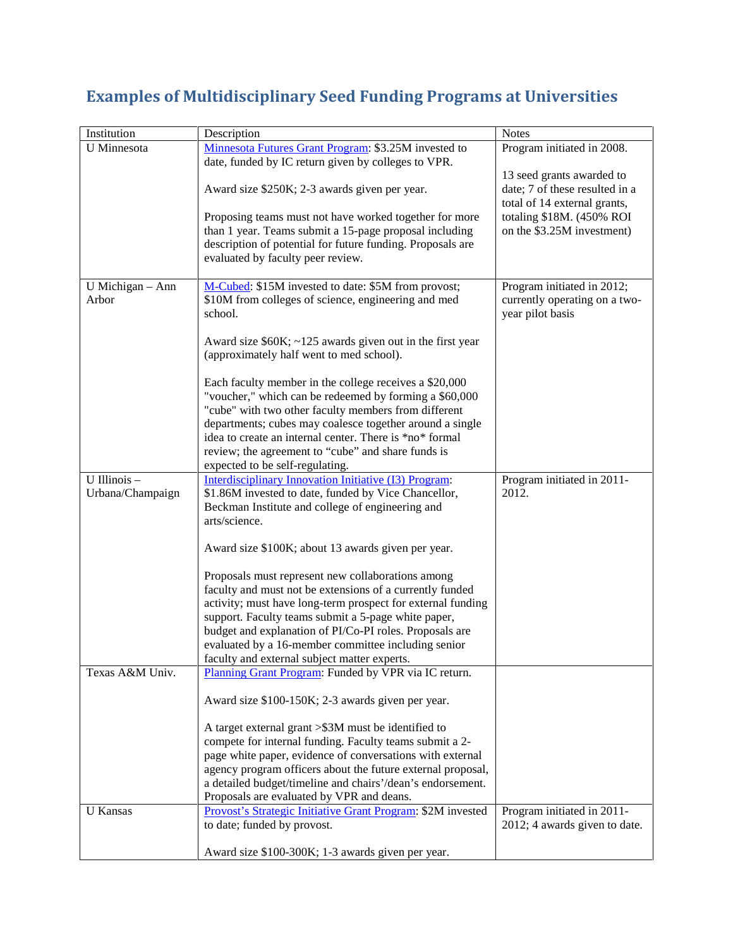## **Examples of Multidisciplinary Seed Funding Programs at Universities**

| Institution               | Description                                                                                                      | <b>Notes</b>                                                |
|---------------------------|------------------------------------------------------------------------------------------------------------------|-------------------------------------------------------------|
| <b>U</b> Minnesota        | Minnesota Futures Grant Program: \$3.25M invested to                                                             | Program initiated in 2008.                                  |
|                           | date, funded by IC return given by colleges to VPR.                                                              |                                                             |
|                           | Award size \$250K; 2-3 awards given per year.                                                                    | 13 seed grants awarded to<br>date; 7 of these resulted in a |
|                           |                                                                                                                  | total of 14 external grants,                                |
|                           | Proposing teams must not have worked together for more<br>than 1 year. Teams submit a 15-page proposal including | totaling \$18M. (450% ROI<br>on the \$3.25M investment)     |
|                           | description of potential for future funding. Proposals are                                                       |                                                             |
|                           | evaluated by faculty peer review.                                                                                |                                                             |
|                           |                                                                                                                  |                                                             |
| U Michigan - Ann<br>Arbor | M-Cubed: \$15M invested to date: \$5M from provost;<br>\$10M from colleges of science, engineering and med       | Program initiated in 2012;<br>currently operating on a two- |
|                           | school.                                                                                                          | year pilot basis                                            |
|                           |                                                                                                                  |                                                             |
|                           | Award size $$60K; -125$ awards given out in the first year                                                       |                                                             |
|                           | (approximately half went to med school).                                                                         |                                                             |
|                           | Each faculty member in the college receives a \$20,000                                                           |                                                             |
|                           | "voucher," which can be redeemed by forming a \$60,000                                                           |                                                             |
|                           | "cube" with two other faculty members from different                                                             |                                                             |
|                           | departments; cubes may coalesce together around a single                                                         |                                                             |
|                           | idea to create an internal center. There is *no* formal                                                          |                                                             |
|                           | review; the agreement to "cube" and share funds is<br>expected to be self-regulating.                            |                                                             |
| U Illinois -              | Interdisciplinary Innovation Initiative (I3) Program:                                                            | Program initiated in 2011-                                  |
| Urbana/Champaign          | \$1.86M invested to date, funded by Vice Chancellor,                                                             | 2012.                                                       |
|                           | Beckman Institute and college of engineering and                                                                 |                                                             |
|                           | arts/science.                                                                                                    |                                                             |
|                           | Award size \$100K; about 13 awards given per year.                                                               |                                                             |
|                           |                                                                                                                  |                                                             |
|                           | Proposals must represent new collaborations among                                                                |                                                             |
|                           | faculty and must not be extensions of a currently funded                                                         |                                                             |
|                           | activity; must have long-term prospect for external funding                                                      |                                                             |
|                           | support. Faculty teams submit a 5-page white paper,<br>budget and explanation of PI/Co-PI roles. Proposals are   |                                                             |
|                           | evaluated by a 16-member committee including senior                                                              |                                                             |
|                           | faculty and external subject matter experts.                                                                     |                                                             |
| Texas A&M Univ.           | Planning Grant Program: Funded by VPR via IC return.                                                             |                                                             |
|                           |                                                                                                                  |                                                             |
|                           | Award size \$100-150K; 2-3 awards given per year.                                                                |                                                             |
|                           | A target external grant > \$3M must be identified to                                                             |                                                             |
|                           | compete for internal funding. Faculty teams submit a 2-                                                          |                                                             |
|                           | page white paper, evidence of conversations with external                                                        |                                                             |
|                           | agency program officers about the future external proposal,                                                      |                                                             |
|                           | a detailed budget/timeline and chairs'/dean's endorsement.<br>Proposals are evaluated by VPR and deans.          |                                                             |
| <b>U</b> Kansas           | Provost's Strategic Initiative Grant Program: \$2M invested                                                      | Program initiated in 2011-                                  |
|                           | to date; funded by provost.                                                                                      | 2012; 4 awards given to date.                               |
|                           |                                                                                                                  |                                                             |
|                           | Award size \$100-300K; 1-3 awards given per year.                                                                |                                                             |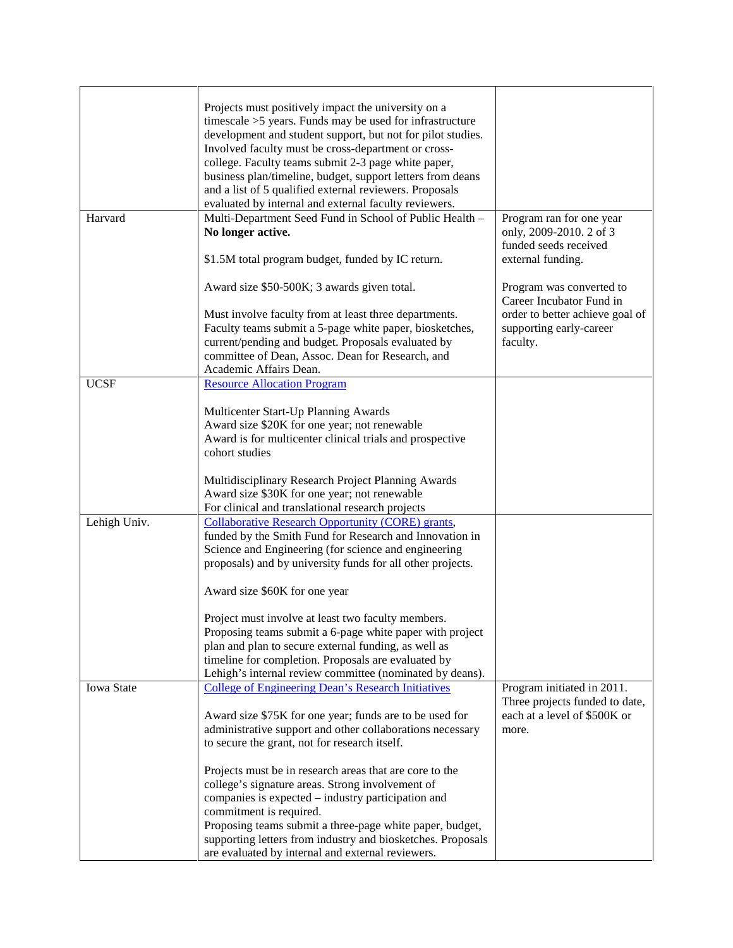|              | Projects must positively impact the university on a<br>timescale $>5$ years. Funds may be used for infrastructure<br>development and student support, but not for pilot studies.<br>Involved faculty must be cross-department or cross-<br>college. Faculty teams submit 2-3 page white paper,<br>business plan/timeline, budget, support letters from deans<br>and a list of 5 qualified external reviewers. Proposals<br>evaluated by internal and external faculty reviewers. |                                                                              |
|--------------|----------------------------------------------------------------------------------------------------------------------------------------------------------------------------------------------------------------------------------------------------------------------------------------------------------------------------------------------------------------------------------------------------------------------------------------------------------------------------------|------------------------------------------------------------------------------|
| Harvard      | Multi-Department Seed Fund in School of Public Health -<br>No longer active.                                                                                                                                                                                                                                                                                                                                                                                                     | Program ran for one year<br>only, 2009-2010. 2 of 3<br>funded seeds received |
|              | \$1.5M total program budget, funded by IC return.                                                                                                                                                                                                                                                                                                                                                                                                                                | external funding.                                                            |
|              | Award size \$50-500K; 3 awards given total.                                                                                                                                                                                                                                                                                                                                                                                                                                      | Program was converted to<br>Career Incubator Fund in                         |
|              | Must involve faculty from at least three departments.<br>Faculty teams submit a 5-page white paper, biosketches,<br>current/pending and budget. Proposals evaluated by<br>committee of Dean, Assoc. Dean for Research, and                                                                                                                                                                                                                                                       | order to better achieve goal of<br>supporting early-career<br>faculty.       |
| <b>UCSF</b>  | Academic Affairs Dean.<br><b>Resource Allocation Program</b>                                                                                                                                                                                                                                                                                                                                                                                                                     |                                                                              |
|              | Multicenter Start-Up Planning Awards<br>Award size \$20K for one year; not renewable<br>Award is for multicenter clinical trials and prospective<br>cohort studies                                                                                                                                                                                                                                                                                                               |                                                                              |
|              | Multidisciplinary Research Project Planning Awards<br>Award size \$30K for one year; not renewable<br>For clinical and translational research projects                                                                                                                                                                                                                                                                                                                           |                                                                              |
| Lehigh Univ. | <b>Collaborative Research Opportunity (CORE) grants,</b><br>funded by the Smith Fund for Research and Innovation in<br>Science and Engineering (for science and engineering<br>proposals) and by university funds for all other projects.                                                                                                                                                                                                                                        |                                                                              |
|              | Award size \$60K for one year                                                                                                                                                                                                                                                                                                                                                                                                                                                    |                                                                              |
|              | Project must involve at least two faculty members.<br>Proposing teams submit a 6-page white paper with project<br>plan and plan to secure external funding, as well as<br>timeline for completion. Proposals are evaluated by<br>Lehigh's internal review committee (nominated by deans).                                                                                                                                                                                        |                                                                              |
| Iowa State   | <b>College of Engineering Dean's Research Initiatives</b>                                                                                                                                                                                                                                                                                                                                                                                                                        | Program initiated in 2011.                                                   |
|              | Award size \$75K for one year; funds are to be used for<br>administrative support and other collaborations necessary<br>to secure the grant, not for research itself.                                                                                                                                                                                                                                                                                                            | Three projects funded to date,<br>each at a level of \$500K or<br>more.      |
|              | Projects must be in research areas that are core to the<br>college's signature areas. Strong involvement of<br>companies is expected – industry participation and<br>commitment is required.<br>Proposing teams submit a three-page white paper, budget,<br>supporting letters from industry and biosketches. Proposals<br>are evaluated by internal and external reviewers.                                                                                                     |                                                                              |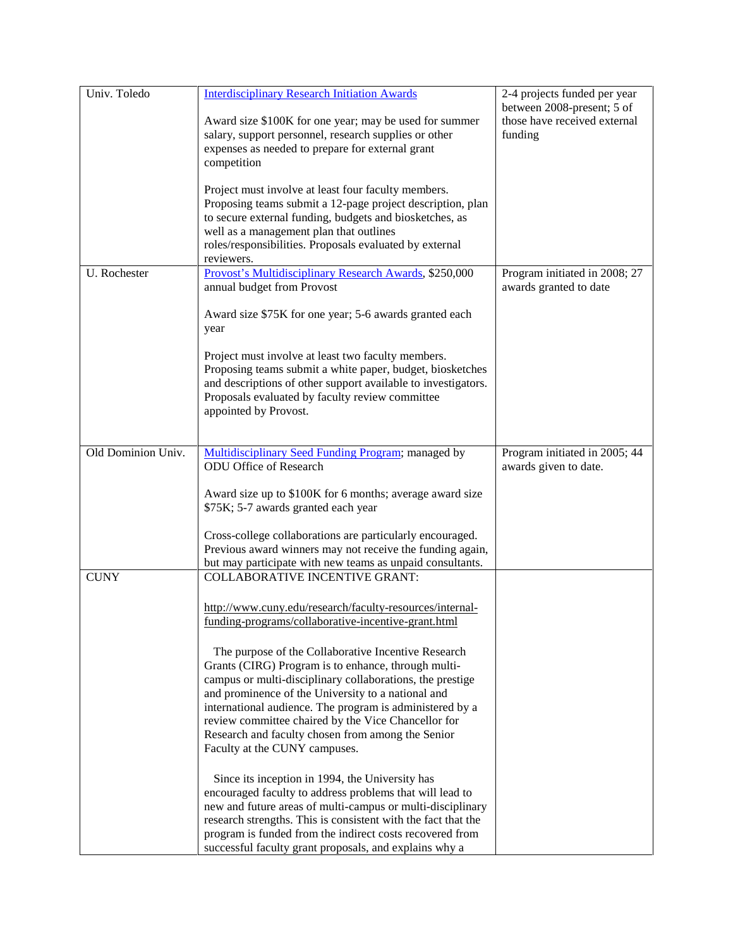| Univ. Toledo       | <b>Interdisciplinary Research Initiation Awards</b><br>Award size \$100K for one year; may be used for summer<br>salary, support personnel, research supplies or other<br>expenses as needed to prepare for external grant<br>competition<br>Project must involve at least four faculty members.<br>Proposing teams submit a 12-page project description, plan<br>to secure external funding, budgets and biosketches, as<br>well as a management plan that outlines<br>roles/responsibilities. Proposals evaluated by external<br>reviewers.                                                                                                                                                                                                                                                                                                                                                                                                                          | 2-4 projects funded per year<br>between 2008-present; 5 of<br>those have received external<br>funding |
|--------------------|------------------------------------------------------------------------------------------------------------------------------------------------------------------------------------------------------------------------------------------------------------------------------------------------------------------------------------------------------------------------------------------------------------------------------------------------------------------------------------------------------------------------------------------------------------------------------------------------------------------------------------------------------------------------------------------------------------------------------------------------------------------------------------------------------------------------------------------------------------------------------------------------------------------------------------------------------------------------|-------------------------------------------------------------------------------------------------------|
| U. Rochester       | Provost's Multidisciplinary Research Awards, \$250,000<br>annual budget from Provost<br>Award size \$75K for one year; 5-6 awards granted each<br>year<br>Project must involve at least two faculty members.<br>Proposing teams submit a white paper, budget, biosketches<br>and descriptions of other support available to investigators.<br>Proposals evaluated by faculty review committee<br>appointed by Provost.                                                                                                                                                                                                                                                                                                                                                                                                                                                                                                                                                 | Program initiated in 2008; 27<br>awards granted to date                                               |
| Old Dominion Univ. | Multidisciplinary Seed Funding Program; managed by<br>ODU Office of Research<br>Award size up to \$100K for 6 months; average award size<br>\$75K; 5-7 awards granted each year<br>Cross-college collaborations are particularly encouraged.<br>Previous award winners may not receive the funding again,<br>but may participate with new teams as unpaid consultants.                                                                                                                                                                                                                                                                                                                                                                                                                                                                                                                                                                                                 | Program initiated in 2005; 44<br>awards given to date.                                                |
| <b>CUNY</b>        | <b>COLLABORATIVE INCENTIVE GRANT:</b><br>http://www.cuny.edu/research/faculty-resources/internal-<br>funding-programs/collaborative-incentive-grant.html<br>The purpose of the Collaborative Incentive Research<br>Grants (CIRG) Program is to enhance, through multi-<br>campus or multi-disciplinary collaborations, the prestige<br>and prominence of the University to a national and<br>international audience. The program is administered by a<br>review committee chaired by the Vice Chancellor for<br>Research and faculty chosen from among the Senior<br>Faculty at the CUNY campuses.<br>Since its inception in 1994, the University has<br>encouraged faculty to address problems that will lead to<br>new and future areas of multi-campus or multi-disciplinary<br>research strengths. This is consistent with the fact that the<br>program is funded from the indirect costs recovered from<br>successful faculty grant proposals, and explains why a |                                                                                                       |